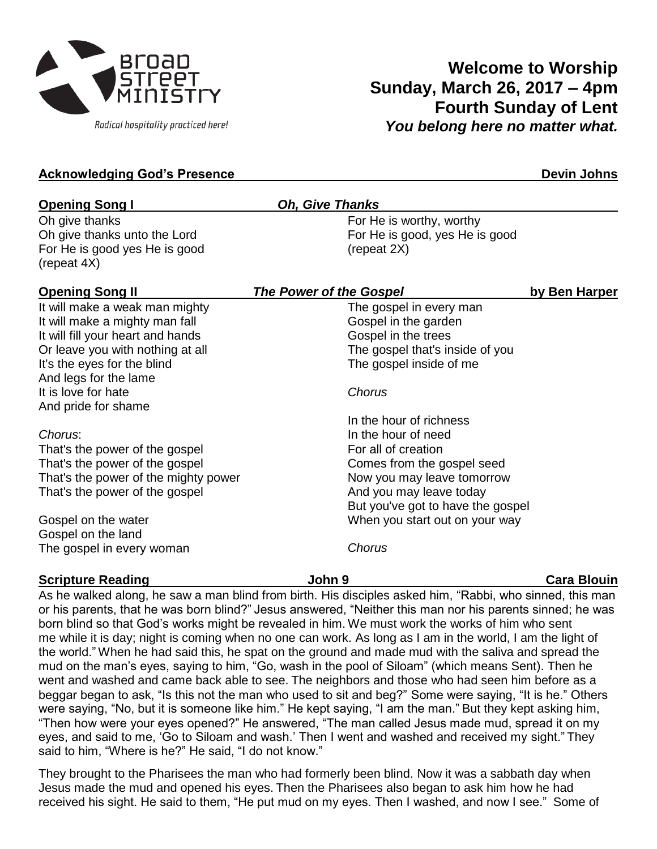

# **Welcome to Worship Sunday, March 26, 2017 – 4pm Fourth Sunday of Lent** *You belong here no matter what.*

### **Acknowledging God's Presence Devin Johns**

| <b>Opening Song I</b>                                                                                                                     | <b>Oh, Give Thanks</b>                                                                                    |                    |
|-------------------------------------------------------------------------------------------------------------------------------------------|-----------------------------------------------------------------------------------------------------------|--------------------|
| Oh give thanks<br>Oh give thanks unto the Lord<br>For He is good yes He is good<br>(repeat 4X)                                            | For He is worthy, worthy<br>For He is good, yes He is good<br>(repeat 2X)                                 |                    |
| <b>Opening Song II</b>                                                                                                                    | The Power of the Gospel                                                                                   | by Ben Harper      |
| It will make a weak man mighty<br>It will make a mighty man fall<br>It will fill your heart and hands<br>Or leave you with nothing at all | The gospel in every man<br>Gospel in the garden<br>Gospel in the trees<br>The gospel that's inside of you |                    |
| It's the eyes for the blind<br>And legs for the lame<br>It is love for hate<br>And pride for shame                                        | The gospel inside of me<br>Chorus                                                                         |                    |
| Chorus:<br>That's the power of the gospel                                                                                                 | In the hour of richness<br>In the hour of need<br>For all of creation                                     |                    |
| That's the power of the gospel<br>That's the power of the mighty power<br>That's the power of the gospel                                  | Comes from the gospel seed<br>Now you may leave tomorrow<br>And you may leave today                       |                    |
| Gospel on the water<br>Gospel on the land<br>The gospel in every woman                                                                    | But you've got to have the gospel<br>When you start out on your way<br>Chorus                             |                    |
| <b>Scripture Reading</b>                                                                                                                  | John 9                                                                                                    | <b>Cara Blouin</b> |

As he walked along, he saw a man blind from birth. His disciples asked him, "Rabbi, who sinned, this man or his parents, that he was born blind?" Jesus answered, "Neither this man nor his parents sinned; he was born blind so that God's works might be revealed in him. We must work the works of him who sent me while it is day; night is coming when no one can work. As long as I am in the world, I am the light of the world." When he had said this, he spat on the ground and made mud with the saliva and spread the mud on the man's eyes, saying to him, "Go, wash in the pool of Siloam" (which means Sent). Then he went and washed and came back able to see. The neighbors and those who had seen him before as a beggar began to ask, "Is this not the man who used to sit and beg?" Some were saying, "It is he." Others were saying, "No, but it is someone like him." He kept saying, "I am the man." But they kept asking him, "Then how were your eyes opened?" He answered, "The man called Jesus made mud, spread it on my eyes, and said to me, 'Go to Siloam and wash.' Then I went and washed and received my sight." They said to him, "Where is he?" He said, "I do not know."

They brought to the Pharisees the man who had formerly been blind. Now it was a sabbath day when Jesus made the mud and opened his eyes. Then the Pharisees also began to ask him how he had received his sight. He said to them, "He put mud on my eyes. Then I washed, and now I see." Some of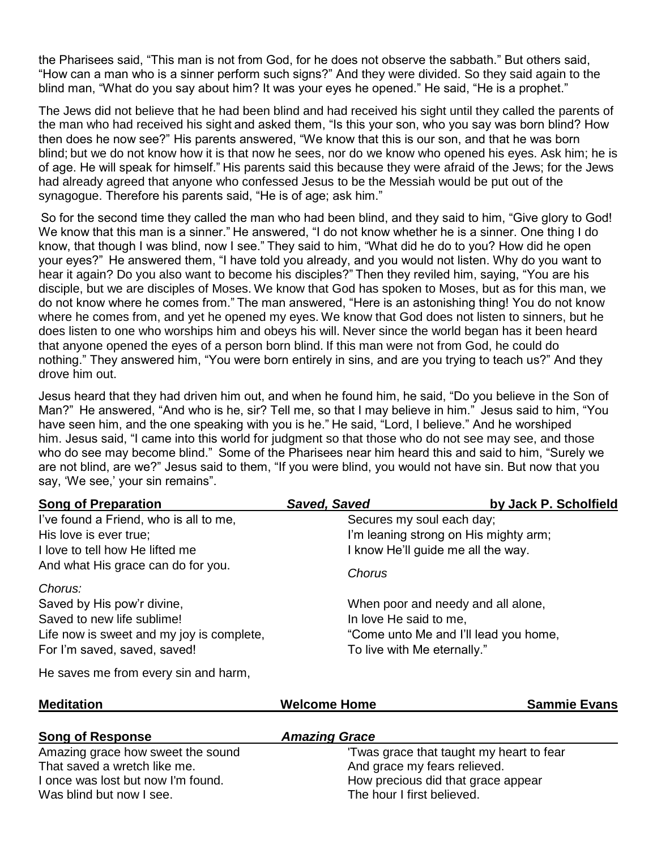the Pharisees said, "This man is not from God, for he does not observe the sabbath." But others said, "How can a man who is a sinner perform such signs?" And they were divided. So they said again to the blind man, "What do you say about him? It was your eyes he opened." He said, "He is a prophet."

The Jews did not believe that he had been blind and had received his sight until they called the parents of the man who had received his sight and asked them, "Is this your son, who you say was born blind? How then does he now see?" His parents answered, "We know that this is our son, and that he was born blind; but we do not know how it is that now he sees, nor do we know who opened his eyes. Ask him; he is of age. He will speak for himself." His parents said this because they were afraid of the Jews; for the Jews had already agreed that anyone who confessed Jesus to be the Messiah would be put out of the synagogue. Therefore his parents said, "He is of age; ask him."

So for the second time they called the man who had been blind, and they said to him, "Give glory to God! We know that this man is a sinner." He answered, "I do not know whether he is a sinner. One thing I do know, that though I was blind, now I see." They said to him, "What did he do to you? How did he open your eyes?" He answered them, "I have told you already, and you would not listen. Why do you want to hear it again? Do you also want to become his disciples?" Then they reviled him, saying, "You are his disciple, but we are disciples of Moses. We know that God has spoken to Moses, but as for this man, we do not know where he comes from." The man answered, "Here is an astonishing thing! You do not know where he comes from, and yet he opened my eyes. We know that God does not listen to sinners, but he does listen to one who worships him and obeys his will. Never since the world began has it been heard that anyone opened the eyes of a person born blind. If this man were not from God, he could do nothing." They answered him, "You were born entirely in sins, and are you trying to teach us?" And they drove him out.

Jesus heard that they had driven him out, and when he found him, he said, "Do you believe in the Son of Man?" He answered, "And who is he, sir? Tell me, so that I may believe in him." Jesus said to him, "You have seen him, and the one speaking with you is he." He said, "Lord, I believe." And he worshiped him. Jesus said, "I came into this world for judgment so that those who do not see may see, and those who do see may become blind." Some of the Pharisees near him heard this and said to him, "Surely we are not blind, are we?" Jesus said to them, "If you were blind, you would not have sin. But now that you say, 'We see,' your sin remains".

| <b>Song of Preparation</b>                | Saved, Saved                            | by Jack P. Scholfield                 |  |
|-------------------------------------------|-----------------------------------------|---------------------------------------|--|
| I've found a Friend, who is all to me,    | Secures my soul each day;               |                                       |  |
| His love is ever true;                    | I'm leaning strong on His mighty arm;   |                                       |  |
| I love to tell how He lifted me           | I know He'll guide me all the way.      |                                       |  |
| And what His grace can do for you.        | Chorus                                  |                                       |  |
| Chorus:                                   |                                         |                                       |  |
| Saved by His pow'r divine,                | When poor and needy and all alone,      |                                       |  |
| Saved to new life sublime!                | In love He said to me,                  |                                       |  |
| Life now is sweet and my joy is complete, |                                         | "Come unto Me and I'll lead you home, |  |
| For I'm saved, saved, saved!              | To live with Me eternally."             |                                       |  |
| He saves me from every sin and harm,      |                                         |                                       |  |
| <b>Meditation</b>                         | <b>Welcome Home</b>                     | <b>Sammie Evans</b>                   |  |
|                                           |                                         |                                       |  |
| <b>Song of Response</b>                   | <b>Amazing Grace</b>                    |                                       |  |
| Amazing grace how sweet the sound         | Twas grace that taught my heart to fear |                                       |  |
| That saved a wretch like me.              | And grace my fears relieved.            |                                       |  |
| I once was lost but now I'm found.        | How precious did that grace appear      |                                       |  |
| Was blind but now I see.                  | The hour I first believed.              |                                       |  |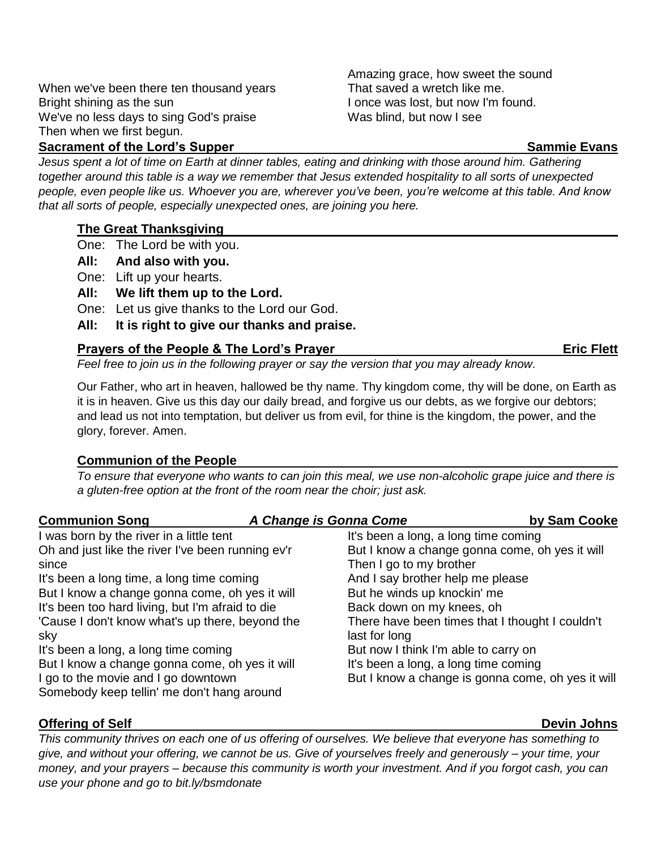When we've been there ten thousand years Bright shining as the sun We've no less days to sing God's praise Then when we first begun.

### **Sacrament of the Lord's Supper Sammighter Sammighter Sammighter Sammighter Sammighter Sammighter Sammighter Sammighter Sammighter Sammighter Sammighter Sammighter Sammighter Sammighter Sammighter Sammighter Sammighter S**

*Jesus spent a lot of time on Earth at dinner tables, eating and drinking with those around him. Gathering together around this table is a way we remember that Jesus extended hospitality to all sorts of unexpected people, even people like us. Whoever you are, wherever you've been, you're welcome at this table. And know that all sorts of people, especially unexpected ones, are joining you here.*

### **The Great Thanksgiving**

- One: The Lord be with you.
- **All: And also with you.**
- One: Lift up your hearts.
- **All: We lift them up to the Lord.**
- One: Let us give thanks to the Lord our God.
- **All: It is right to give our thanks and praise.**

### **Prayers of the People & The Lord's Prayer Example 20 and Series Except Prayer Eric Flett**

*Feel free to join us in the following prayer or say the version that you may already know.*

Our Father, who art in heaven, hallowed be thy name. Thy kingdom come, thy will be done, on Earth as it is in heaven. Give us this day our daily bread, and forgive us our debts, as we forgive our debtors; and lead us not into temptation, but deliver us from evil, for thine is the kingdom, the power, and the glory, forever. Amen.

### **Communion of the People**

*To ensure that everyone who wants to can join this meal, we use non-alcoholic grape juice and there is a gluten-free option at the front of the room near the choir; just ask.*

| <b>Communion Song</b>                             | A Change is Gonna Come               | by Sam Cooke                                      |
|---------------------------------------------------|--------------------------------------|---------------------------------------------------|
| I was born by the river in a little tent          | It's been a long, a long time coming |                                                   |
| Oh and just like the river I've been running ev'r |                                      | But I know a change gonna come, oh yes it will    |
| since                                             | Then I go to my brother              |                                                   |
| It's been a long time, a long time coming         | And I say brother help me please     |                                                   |
| But I know a change gonna come, oh yes it will    | But he winds up knockin' me          |                                                   |
| It's been too hard living, but I'm afraid to die  | Back down on my knees, oh            |                                                   |
| 'Cause I don't know what's up there, beyond the   |                                      | There have been times that I thought I couldn't   |
| sky                                               | last for long                        |                                                   |
| It's been a long, a long time coming              | But now I think I'm able to carry on |                                                   |
| But I know a change gonna come, oh yes it will    | It's been a long, a long time coming |                                                   |
| I go to the movie and I go downtown               |                                      | But I know a change is gonna come, oh yes it will |
| Somebody keep tellin' me don't hang around        |                                      |                                                   |

### **Offering of Self Devin Johns**

*This community thrives on each one of us offering of ourselves. We believe that everyone has something to give, and without your offering, we cannot be us. Give of yourselves freely and generously – your time, your money, and your prayers – because this community is worth your investment. And if you forgot cash, you can use your phone and go to bit.ly/bsmdonate*

Amazing grace, how sweet the sound

I once was lost, but now I'm found.

That saved a wretch like me.

Was blind, but now I see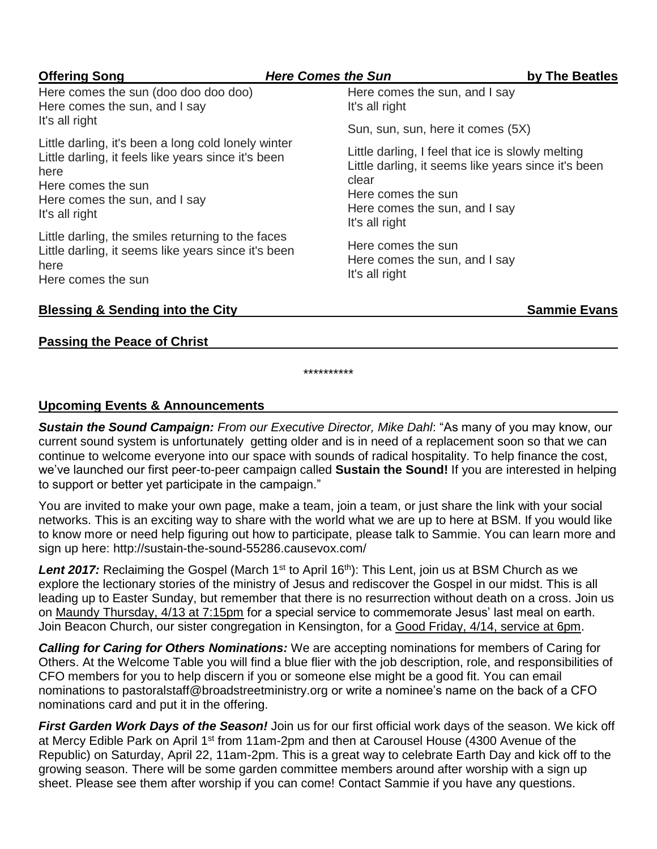| <b>Offering Song</b>                                                                                                                                                                        | <b>Here Comes the Sun</b>                                                                                                                                                                  | by The Beatles      |
|---------------------------------------------------------------------------------------------------------------------------------------------------------------------------------------------|--------------------------------------------------------------------------------------------------------------------------------------------------------------------------------------------|---------------------|
| Here comes the sun (doo doo doo doo)<br>Here comes the sun, and I say<br>It's all right                                                                                                     | Here comes the sun, and I say<br>It's all right                                                                                                                                            |                     |
|                                                                                                                                                                                             | Sun, sun, sun, here it comes (5X)                                                                                                                                                          |                     |
| Little darling, it's been a long cold lonely winter<br>Little darling, it feels like years since it's been<br>here<br>Here comes the sun<br>Here comes the sun, and I say<br>It's all right | Little darling, I feel that ice is slowly melting<br>Little darling, it seems like years since it's been<br>clear<br>Here comes the sun<br>Here comes the sun, and I say<br>It's all right |                     |
| Little darling, the smiles returning to the faces<br>Little darling, it seems like years since it's been<br>here<br>Here comes the sun                                                      | Here comes the sun<br>Here comes the sun, and I say<br>It's all right                                                                                                                      |                     |
| <b>Blessing &amp; Sending into the City</b>                                                                                                                                                 |                                                                                                                                                                                            | <b>Sammie Evans</b> |

### **Passing the Peace of Christ**

### **Upcoming Events & Announcements**

*Sustain the Sound Campaign: From our Executive Director, Mike Dahl*: "As many of you may know, our current sound system is unfortunately getting older and is in need of a replacement soon so that we can continue to welcome everyone into our space with sounds of radical hospitality. To help finance the cost, we've launched our first peer-to-peer campaign called **Sustain the Sound!** If you are interested in helping to support or better yet participate in the campaign."

\*\*\*\*\*\*\*\*\*\*

You are invited to make your own page, make a team, join a team, or just share the link with your social networks. This is an exciting way to share with the world what we are up to here at BSM. If you would like to know more or need help figuring out how to participate, please talk to Sammie. You can learn more and sign up here: http://sustain-the-sound-55286.causevox.com/

Lent 2017: Reclaiming the Gospel (March 1<sup>st</sup> to April 16<sup>th</sup>): This Lent, join us at BSM Church as we explore the lectionary stories of the ministry of Jesus and rediscover the Gospel in our midst. This is all leading up to Easter Sunday, but remember that there is no resurrection without death on a cross. Join us on Maundy Thursday, 4/13 at 7:15pm for a special service to commemorate Jesus' last meal on earth. Join Beacon Church, our sister congregation in Kensington, for a Good Friday, 4/14, service at 6pm.

*Calling for Caring for Others Nominations:* We are accepting nominations for members of Caring for Others. At the Welcome Table you will find a blue flier with the job description, role, and responsibilities of CFO members for you to help discern if you or someone else might be a good fit. You can email nominations to pastoralstaff@broadstreetministry.org or write a nominee's name on the back of a CFO nominations card and put it in the offering.

*First Garden Work Days of the Season!* Join us for our first official work days of the season. We kick off at Mercy Edible Park on April 1<sup>st</sup> from 11am-2pm and then at Carousel House (4300 Avenue of the Republic) on Saturday, April 22, 11am-2pm. This is a great way to celebrate Earth Day and kick off to the growing season. There will be some garden committee members around after worship with a sign up sheet. Please see them after worship if you can come! Contact Sammie if you have any questions.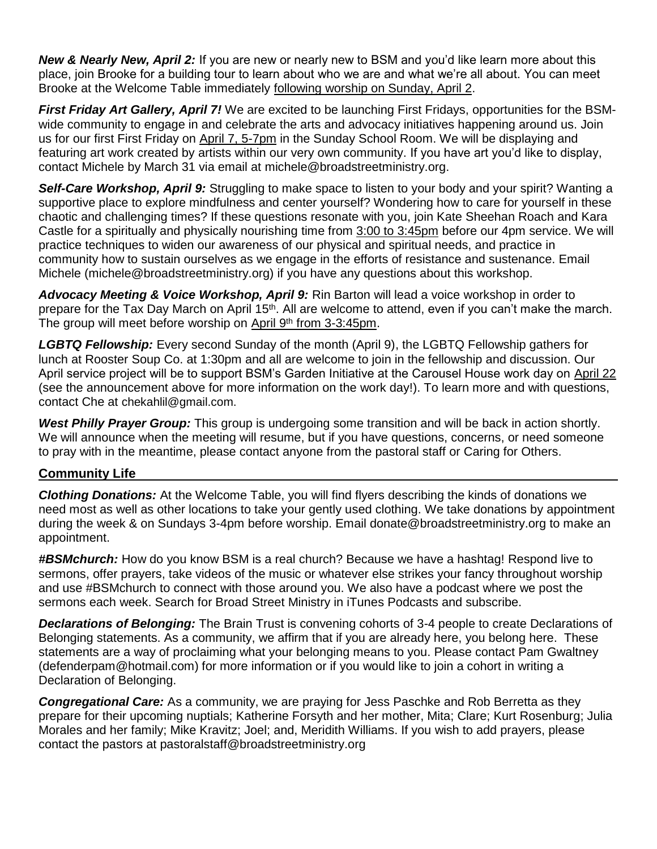*New & Nearly New, April 2:* If you are new or nearly new to BSM and you'd like learn more about this place, join Brooke for a building tour to learn about who we are and what we're all about. You can meet Brooke at the Welcome Table immediately following worship on Sunday, April 2.

*First Friday Art Gallery, April 7!* We are excited to be launching First Fridays, opportunities for the BSMwide community to engage in and celebrate the arts and advocacy initiatives happening around us. Join us for our first First Friday on April 7, 5-7pm in the Sunday School Room. We will be displaying and featuring art work created by artists within our very own community. If you have art you'd like to display, contact Michele by March 31 via email at michele@broadstreetministry.org.

*Self-Care Workshop, April 9:* Struggling to make space to listen to your body and your spirit? Wanting a supportive place to explore mindfulness and center yourself? Wondering how to care for yourself in these chaotic and challenging times? If these questions resonate with you, join Kate Sheehan Roach and Kara Castle for a spiritually and physically nourishing time from 3:00 to 3:45pm before our 4pm service. We will practice techniques to widen our awareness of our physical and spiritual needs, and practice in community how to sustain ourselves as we engage in the efforts of resistance and sustenance. Email Michele (michele@broadstreetministry.org) if you have any questions about this workshop.

Advocacy Meeting & Voice Workshop, April 9: Rin Barton will lead a voice workshop in order to prepare for the Tax Day March on April 15th. All are welcome to attend, even if you can't make the march. The group will meet before worship on April 9<sup>th</sup> from 3-3:45pm.

*LGBTQ Fellowship:* Every second Sunday of the month (April 9), the LGBTQ Fellowship gathers for lunch at Rooster Soup Co. at 1:30pm and all are welcome to join in the fellowship and discussion. Our April service project will be to support BSM's Garden Initiative at the Carousel House work day on April 22 (see the announcement above for more information on the work day!). To learn more and with questions, contact Che at chekahlil@gmail.com.

*West Philly Prayer Group:* This group is undergoing some transition and will be back in action shortly. We will announce when the meeting will resume, but if you have questions, concerns, or need someone to pray with in the meantime, please contact anyone from the pastoral staff or Caring for Others.

### **Community Life**

*Clothing Donations:* At the Welcome Table, you will find flyers describing the kinds of donations we need most as well as other locations to take your gently used clothing. We take donations by appointment during the week & on Sundays 3-4pm before worship. Email donate@broadstreetministry.org to make an appointment.

*#BSMchurch:* How do you know BSM is a real church? Because we have a hashtag! Respond live to sermons, offer prayers, take videos of the music or whatever else strikes your fancy throughout worship and use #BSMchurch to connect with those around you. We also have a podcast where we post the sermons each week. Search for Broad Street Ministry in iTunes Podcasts and subscribe.

*Declarations of Belonging:* The Brain Trust is convening cohorts of 3-4 people to create Declarations of Belonging statements. As a community, we affirm that if you are already here, you belong here. These statements are a way of proclaiming what your belonging means to you. Please contact Pam Gwaltney (defenderpam@hotmail.com) for more information or if you would like to join a cohort in writing a Declaration of Belonging.

*Congregational Care:* As a community, we are praying for Jess Paschke and Rob Berretta as they prepare for their upcoming nuptials; Katherine Forsyth and her mother, Mita; Clare; Kurt Rosenburg; Julia Morales and her family; Mike Kravitz; Joel; and, Meridith Williams. If you wish to add prayers, please contact the pastors at pastoralstaff@broadstreetministry.org